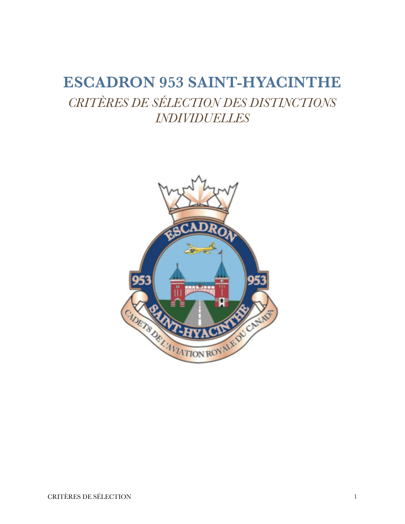# <span id="page-0-0"></span>**ESCADRON 953 SAINT-HYACINTHE**  *CRITÈRES DE SÉLECTION DES DISTINCTIONS INDIVIDUELLES*

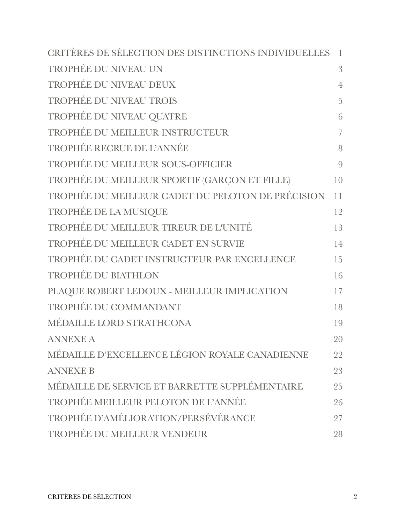| CRITÈRES DE SÉLECTION DES DISTINCTIONS INDIVIDUELLES | $\overline{\phantom{a}}$ |
|------------------------------------------------------|--------------------------|
| TROPHÉE DU NIVEAU UN                                 | 3                        |
| TROPHÉE DU NIVEAU DEUX                               | $\overline{4}$           |
| <b>TROPHÉE DU NIVEAU TROIS</b>                       | 5                        |
| TROPHÉE DU NIVEAU QUATRE                             | 6                        |
| TROPHÉE DU MEILLEUR INSTRUCTEUR                      | $\overline{7}$           |
| TROPHÉE RECRUE DE L'ANNÉE                            | 8                        |
| TROPHÉE DU MEILLEUR SOUS-OFFICIER                    | 9                        |
| TROPHÉE DU MEILLEUR SPORTIF (GARÇON ET FILLE)        | 10                       |
| TROPHÉE DU MEILLEUR CADET DU PELOTON DE PRÉCISION    | 11                       |
| TROPHÉE DE LA MUSIQUE                                | 12                       |
| TROPHÉE DU MEILLEUR TIREUR DE L'UNITÉ                | 13                       |
| TROPHÉE DU MEILLEUR CADET EN SURVIE                  | 14                       |
| TROPHÉE DU CADET INSTRUCTEUR PAR EXCELLENCE          | 15                       |
| TROPHÉE DU BIATHLON                                  | 16                       |
| PLAQUE ROBERT LEDOUX - MEILLEUR IMPLICATION          | 17                       |
| TROPHÉE DU COMMANDANT                                | 18                       |
| MÉDAILLE LORD STRATHCONA                             | 19                       |
| <b>ANNEXE A</b>                                      | 20                       |
| MÉDAILLE D'EXCELLENCE LÉGION ROYALE CANADIENNE       | 22                       |
| <b>ANNEXE B</b>                                      | 23                       |
| MÉDAILLE DE SERVICE ET BARRETTE SUPPLÉMENTAIRE       | 25                       |
| TROPHÉE MEILLEUR PELOTON DE L'ANNÉE                  | 26                       |
| TROPHÉE D'AMÉLIORATION/PERSÉVÉRANCE                  | 27                       |
| TROPHÉE DU MEILLEUR VENDEUR                          | 28                       |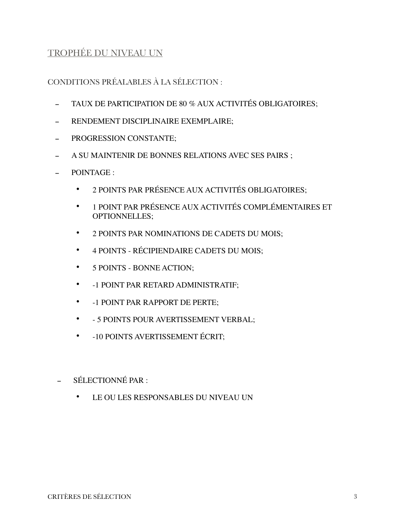### <span id="page-2-0"></span>TROPHÉE DU NIVEAU UN

- TAUX DE PARTICIPATION DE 80 % AUX ACTIVITÉS OBLIGATOIRES;
- RENDEMENT DISCIPLINAIRE EXEMPLAIRE:
- PROGRESSION CONSTANTE;
- A SU MAINTENIR DE BONNES RELATIONS AVEC SES PAIRS ;
- POINTAGE :
	- 2 POINTS PAR PRÉSENCE AUX ACTIVITÉS OBLIGATOIRES;
	- 1 POINT PAR PRÉSENCE AUX ACTIVITÉS COMPLÉMENTAIRES ET OPTIONNELLES;
	- 2 POINTS PAR NOMINATIONS DE CADETS DU MOIS;
	- 4 POINTS RÉCIPIENDAIRE CADETS DU MOIS;
	- 5 POINTS BONNE ACTION;
	- -1 POINT PAR RETARD ADMINISTRATIF;
	- -1 POINT PAR RAPPORT DE PERTE;
	- - 5 POINTS POUR AVERTISSEMENT VERBAL;
	- -10 POINTS AVERTISSEMENT ÉCRIT;
- SÉLECTIONNÉ PAR :
	- LE OU LES RESPONSABLES DU NIVEAU UN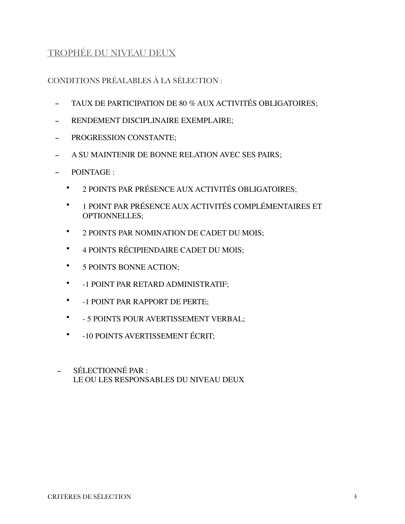## <span id="page-3-0"></span>TROPHÉE DU NIVEAU DEUX

- TAUX DE PARTICIPATION DE 80 % AUX ACTIVITÉS OBLIGATOIRES;
- RENDEMENT DISCIPLINAIRE EXEMPLAIRE;
- PROGRESSION CONSTANTE;
- A SU MAINTENIR DE BONNE RELATION AVEC SES PAIRS;
- POINTAGE :
	- 2 POINTS PAR PRÉSENCE AUX ACTIVITÉS OBLIGATOIRES;
	- 1 POINT PAR PRÉSENCE AUX ACTIVITÉS COMPLÉMENTAIRES ET OPTIONNELLES;
	- 2 POINTS PAR NOMINATION DE CADET DU MOIS;
	- 4 POINTS RÉCIPIENDAIRE CADET DU MOIS;
	- 5 POINTS BONNE ACTION;
	- -1 POINT PAR RETARD ADMINISTRATIF;
	- -1 POINT PAR RAPPORT DE PERTE;
	- - 5 POINTS POUR AVERTISSEMENT VERBAL;
	- -10 POINTS AVERTISSEMENT ÉCRIT;
- SÉLECTIONNÉ PAR : LE OU LES RESPONSABLES DU NIVEAU DEUX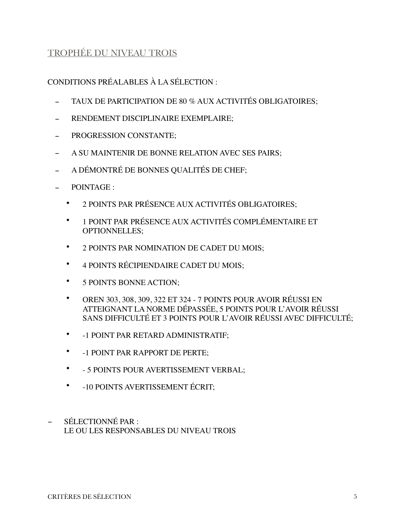### <span id="page-4-0"></span>TROPHÉE DU NIVEAU TROIS

- TAUX DE PARTICIPATION DE 80 % AUX ACTIVITÉS OBLIGATOIRES;
- RENDEMENT DISCIPLINAIRE EXEMPLAIRE:
- PROGRESSION CONSTANTE;
- A SU MAINTENIR DE BONNE RELATION AVEC SES PAIRS;
- A DÉMONTRÉ DE BONNES QUALITÉS DE CHEF;
- POINTAGE :
	- 2 POINTS PAR PRÉSENCE AUX ACTIVITÉS OBLIGATOIRES;
	- 1 POINT PAR PRÉSENCE AUX ACTIVITÉS COMPLÉMENTAIRE ET OPTIONNELLES;
	- 2 POINTS PAR NOMINATION DE CADET DU MOIS;
	- 4 POINTS RÉCIPIENDAIRE CADET DU MOIS;
	- 5 POINTS BONNE ACTION;
	- OREN 303, 308, 309, 322 ET 324 7 POINTS POUR AVOIR RÉUSSI EN ATTEIGNANT LA NORME DÉPASSÉE, 5 POINTS POUR L'AVOIR RÉUSSI SANS DIFFICULTÉ ET 3 POINTS POUR L'AVOIR RÉUSSI AVEC DIFFICULTÉ;
	- -1 POINT PAR RETARD ADMINISTRATIF;
	- -1 POINT PAR RAPPORT DE PERTE;
	- - 5 POINTS POUR AVERTISSEMENT VERBAL;
	- -10 POINTS AVERTISSEMENT ÉCRIT;
- SÉLECTIONNÉ PAR : LE OU LES RESPONSABLES DU NIVEAU TROIS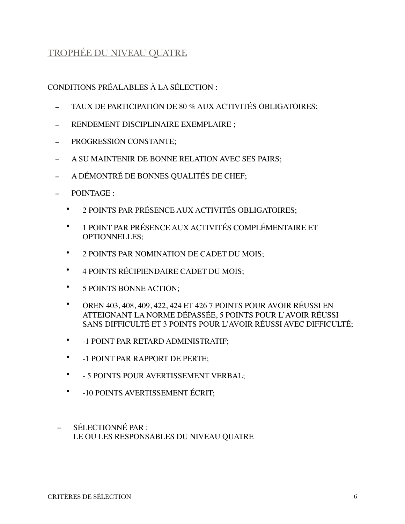### <span id="page-5-0"></span>TROPHÉE DU NIVEAU QUATRE

- TAUX DE PARTICIPATION DE 80 % AUX ACTIVITÉS OBLIGATOIRES;
- RENDEMENT DISCIPLINAIRE EXEMPLAIRE :
- PROGRESSION CONSTANTE;
- A SU MAINTENIR DE BONNE RELATION AVEC SES PAIRS;
- A DÉMONTRÉ DE BONNES QUALITÉS DE CHEF;
- POINTAGE :
	- 2 POINTS PAR PRÉSENCE AUX ACTIVITÉS OBLIGATOIRES;
	- 1 POINT PAR PRÉSENCE AUX ACTIVITÉS COMPLÉMENTAIRE ET OPTIONNELLES;
	- 2 POINTS PAR NOMINATION DE CADET DU MOIS;
	- 4 POINTS RÉCIPIENDAIRE CADET DU MOIS;
	- 5 POINTS BONNE ACTION;
	- OREN 403, 408, 409, 422, 424 ET 426 7 POINTS POUR AVOIR RÉUSSI EN ATTEIGNANT LA NORME DÉPASSÉE, 5 POINTS POUR L'AVOIR RÉUSSI SANS DIFFICULTÉ ET 3 POINTS POUR L'AVOIR RÉUSSI AVEC DIFFICULTÉ;
	- -1 POINT PAR RETARD ADMINISTRATIF;
	- -1 POINT PAR RAPPORT DE PERTE;
	- - 5 POINTS POUR AVERTISSEMENT VERBAL;
	- -10 POINTS AVERTISSEMENT ÉCRIT;
- SÉLECTIONNÉ PAR : LE OU LES RESPONSABLES DU NIVEAU QUATRE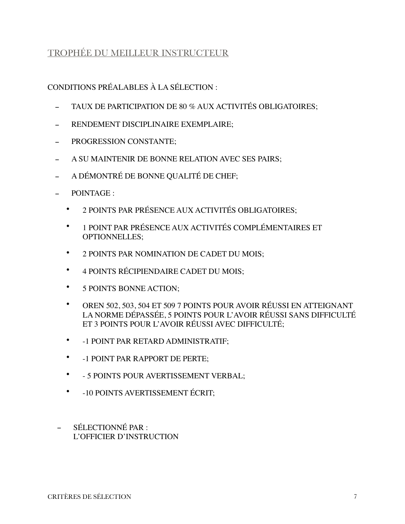## <span id="page-6-0"></span>TROPHÉE DU MEILLEUR INSTRUCTEUR

- TAUX DE PARTICIPATION DE 80 % AUX ACTIVITÉS OBLIGATOIRES;
- RENDEMENT DISCIPLINAIRE EXEMPLAIRE:
- PROGRESSION CONSTANTE;
- A SU MAINTENIR DE BONNE RELATION AVEC SES PAIRS;
- A DÉMONTRÉ DE BONNE QUALITÉ DE CHEF;
- POINTAGE :
	- 2 POINTS PAR PRÉSENCE AUX ACTIVITÉS OBLIGATOIRES;
	- 1 POINT PAR PRÉSENCE AUX ACTIVITÉS COMPLÉMENTAIRES ET OPTIONNELLES;
	- 2 POINTS PAR NOMINATION DE CADET DU MOIS;
	- 4 POINTS RÉCIPIENDAIRE CADET DU MOIS;
	- 5 POINTS BONNE ACTION;
	- OREN 502, 503, 504 ET 509 7 POINTS POUR AVOIR RÉUSSI EN ATTEIGNANT LA NORME DÉPASSÉE, 5 POINTS POUR L'AVOIR RÉUSSI SANS DIFFICULTÉ ET 3 POINTS POUR L'AVOIR RÉUSSI AVEC DIFFICULTÉ;
	- -1 POINT PAR RETARD ADMINISTRATIF;
	- -1 POINT PAR RAPPORT DE PERTE;
	- - 5 POINTS POUR AVERTISSEMENT VERBAL;
	- -10 POINTS AVERTISSEMENT ÉCRIT;
- SÉLECTIONNÉ PAR : L'OFFICIER D'INSTRUCTION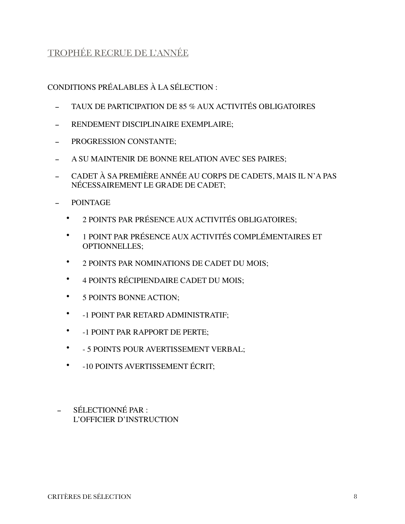## <span id="page-7-0"></span>TROPHÉE RECRUE DE L'ANNÉE

- TAUX DE PARTICIPATION DE 85 % AUX ACTIVITÉS OBLIGATOIRES
- RENDEMENT DISCIPLINAIRE EXEMPLAIRE:
- PROGRESSION CONSTANTE;
- A SU MAINTENIR DE BONNE RELATION AVEC SES PAIRES;
- CADET À SA PREMIÈRE ANNÉE AU CORPS DE CADETS, MAIS IL N'A PAS NÉCESSAIREMENT LE GRADE DE CADET;
- POINTAGE
	- 2 POINTS PAR PRÉSENCE AUX ACTIVITÉS OBLIGATOIRES;
	- 1 POINT PAR PRÉSENCE AUX ACTIVITÉS COMPLÉMENTAIRES ET OPTIONNELLES;
	- 2 POINTS PAR NOMINATIONS DE CADET DU MOIS;
	- 4 POINTS RÉCIPIENDAIRE CADET DU MOIS;
	- 5 POINTS BONNE ACTION;
	- -1 POINT PAR RETARD ADMINISTRATIF;
	- -1 POINT PAR RAPPORT DE PERTE;
	- - 5 POINTS POUR AVERTISSEMENT VERBAL;
	- -10 POINTS AVERTISSEMENT ÉCRIT;
- SÉLECTIONNÉ PAR : L'OFFICIER D'INSTRUCTION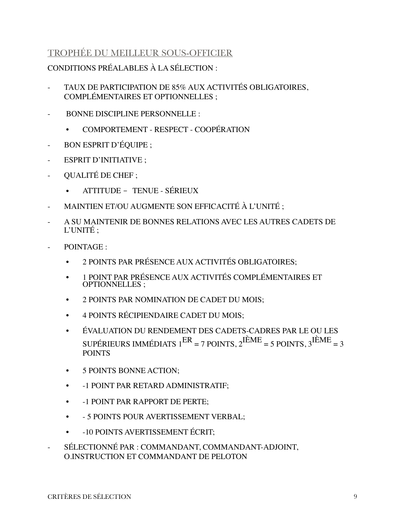### <span id="page-8-0"></span>TROPHÉE DU MEILLEUR SOUS-OFFICIER

- TAUX DE PARTICIPATION DE 85% AUX ACTIVITÉS OBLIGATOIRES, COMPLÉMENTAIRES ET OPTIONNELLES ;
- BONNE DISCIPLINE PERSONNELLE :
	- COMPORTEMENT RESPECT COOPÉRATION
- BON ESPRIT D'ÉQUIPE ;
- ESPRIT D'INITIATIVE ;
- QUALITÉ DE CHEF ;
	- ATTITUDE TENUE SÉRIEUX
- MAINTIEN ET/OU AUGMENTE SON EFFICACITÉ À L'UNITÉ ;
- A SU MAINTENIR DE BONNES RELATIONS AVEC LES AUTRES CADETS DE L'UNITÉ ;
- POINTAGE :
	- 2 POINTS PAR PRÉSENCE AUX ACTIVITÉS OBLIGATOIRES;
	- 1 POINT PAR PRÉSENCE AUX ACTIVITÉS COMPLÉMENTAIRES ET OPTIONNELLES ;
	- 2 POINTS PAR NOMINATION DE CADET DU MOIS;
	- 4 POINTS RÉCIPIENDAIRE CADET DU MOIS;
	- ÉVALUATION DU RENDEMENT DES CADETS-CADRES PAR LE OU LES SUPÉRIEURS IMMÉDIATS  $1^{ER} = 7$  POINTS,  $2^{IÈME} = 5$  POINTS,  $3^{IÈME} = 3$ POINTS
	- 5 POINTS BONNE ACTION;
	- -1 POINT PAR RETARD ADMINISTRATIF;
	- -1 POINT PAR RAPPORT DE PERTE;
	- - 5 POINTS POUR AVERTISSEMENT VERBAL;
	- -10 POINTS AVERTISSEMENT ÉCRIT;
- SÉLECTIONNÉ PAR : COMMANDANT, COMMANDANT-ADJOINT, O.INSTRUCTION ET COMMANDANT DE PELOTON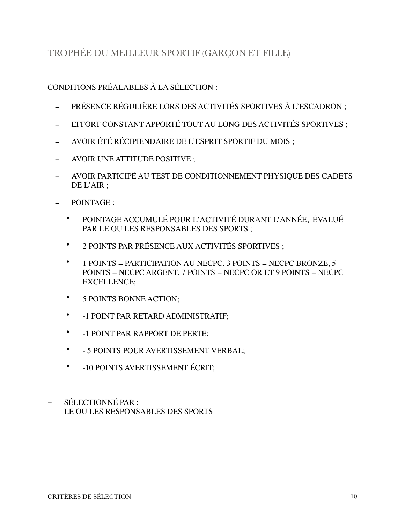### <span id="page-9-0"></span>TROPHÉE DU MEILLEUR SPORTIF (GARÇON ET FILLE)

- PRÉSENCE RÉGULIÈRE LORS DES ACTIVITÉS SPORTIVES À L'ESCADRON ;
- EFFORT CONSTANT APPORTÉ TOUT AU LONG DES ACTIVITÉS SPORTIVES ;
- AVOIR ÉTÉ RÉCIPIENDAIRE DE L'ESPRIT SPORTIF DU MOIS ;
- AVOIR UNE ATTITUDE POSITIVE ;
- AVOIR PARTICIPÉ AU TEST DE CONDITIONNEMENT PHYSIQUE DES CADETS DE L'AIR ;
- POINTAGE :
	- POINTAGE ACCUMULÉ POUR L'ACTIVITÉ DURANT L'ANNÉE, ÉVALUÉ PAR LE OU LES RESPONSABLES DES SPORTS ;
	- 2 POINTS PAR PRÉSENCE AUX ACTIVITÉS SPORTIVES ;
	- 1 POINTS = PARTICIPATION AU NECPC, 3 POINTS = NECPC BRONZE, 5 POINTS = NECPC ARGENT, 7 POINTS = NECPC OR ET 9 POINTS = NECPC EXCELLENCE;
	- 5 POINTS BONNE ACTION;
	- -1 POINT PAR RETARD ADMINISTRATIF;
	- -1 POINT PAR RAPPORT DE PERTE;
	- - 5 POINTS POUR AVERTISSEMENT VERBAL;
	- -10 POINTS AVERTISSEMENT ÉCRIT;
- SÉLECTIONNÉ PAR : LE OU LES RESPONSABLES DES SPORTS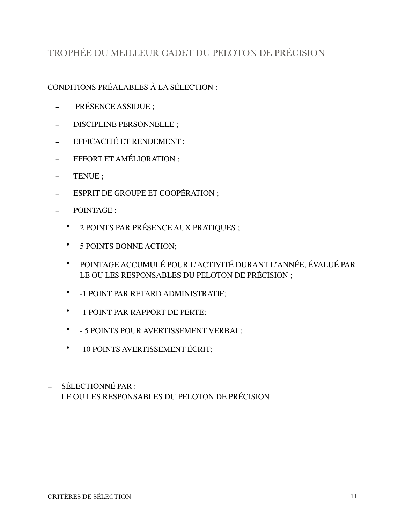# <span id="page-10-0"></span>TROPHÉE DU MEILLEUR CADET DU PELOTON DE PRÉCISION

- PRÉSENCE ASSIDUE ;
- DISCIPLINE PERSONNELLE ;
- EFFICACITÉ ET RENDEMENT ;
- EFFORT ET AMÉLIORATION ;
- TENUE ;
- ESPRIT DE GROUPE ET COOPÉRATION ;
- POINTAGE :
	- 2 POINTS PAR PRÉSENCE AUX PRATIQUES ;
	- 5 POINTS BONNE ACTION;
	- POINTAGE ACCUMULÉ POUR L'ACTIVITÉ DURANT L'ANNÉE, ÉVALUÉ PAR LE OU LES RESPONSABLES DU PELOTON DE PRÉCISION ;
	- -1 POINT PAR RETARD ADMINISTRATIF;
	- -1 POINT PAR RAPPORT DE PERTE;
	- - 5 POINTS POUR AVERTISSEMENT VERBAL;
	- -10 POINTS AVERTISSEMENT ÉCRIT;
- SÉLECTIONNÉ PAR : LE OU LES RESPONSABLES DU PELOTON DE PRÉCISION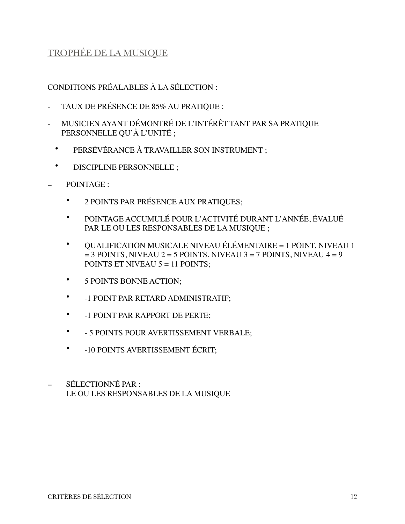### <span id="page-11-0"></span>TROPHÉE DE LA MUSIQUE

- TAUX DE PRÉSENCE DE 85% AU PRATIQUE ;
- MUSICIEN AYANT DÉMONTRÉ DE L'INTÉRÊT TANT PAR SA PRATIQUE PERSONNELLE QU'À L'UNITÉ ;
	- PERSÉVÉRANCE À TRAVAILLER SON INSTRUMENT ;
	- DISCIPLINE PERSONNELLE ;
- POINTAGE :
	- 2 POINTS PAR PRÉSENCE AUX PRATIQUES;
	- POINTAGE ACCUMULÉ POUR L'ACTIVITÉ DURANT L'ANNÉE, ÉVALUÉ PAR LE OU LES RESPONSABLES DE LA MUSIQUE ;
	- QUALIFICATION MUSICALE NIVEAU ÉLÉMENTAIRE = 1 POINT, NIVEAU 1  $= 3$  POINTS, NIVEAU 2 = 5 POINTS, NIVEAU 3 = 7 POINTS, NIVEAU 4 = 9 POINTS ET NIVEAU  $5 = 11$  POINTS:
	- 5 POINTS BONNE ACTION;
	- -1 POINT PAR RETARD ADMINISTRATIF;
	- -1 POINT PAR RAPPORT DE PERTE;
	- - 5 POINTS POUR AVERTISSEMENT VERBALE;
	- -10 POINTS AVERTISSEMENT ÉCRIT;
- SÉLECTIONNÉ PAR : LE OU LES RESPONSABLES DE LA MUSIQUE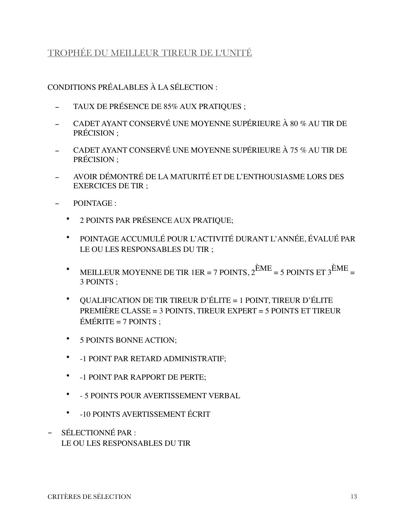### <span id="page-12-0"></span>TROPHÉE DU MEILLEUR TIREUR DE L'UNITÉ

- TAUX DE PRÉSENCE DE 85% AUX PRATIQUES ;
- CADET AYANT CONSERVÉ UNE MOYENNE SUPÉRIEURE À 80 % AU TIR DE PRÉCISION ;
- CADET AYANT CONSERVÉ UNE MOYENNE SUPÉRIEURE À 75 % AU TIR DE PRÉCISION ;
- AVOIR DÉMONTRÉ DE LA MATURITÉ ET DE L'ENTHOUSIASME LORS DES EXERCICES DE TIR ;
- POINTAGE :
	- 2 POINTS PAR PRÉSENCE AUX PRATIQUE;
	- POINTAGE ACCUMULÉ POUR L'ACTIVITÉ DURANT L'ANNÉE, ÉVALUÉ PAR LE OU LES RESPONSABLES DU TIR ;
	- MEILLEUR MOYENNE DE TIR 1ER = 7 POINTS,  $2^{\text{EME}}$  = 5 POINTS ET  $3^{\text{EME}}$  = 3 POINTS ;
	- QUALIFICATION DE TIR TIREUR D'ÉLITE = 1 POINT, TIREUR D'ÉLITE PREMIÈRE CLASSE = 3 POINTS, TIREUR EXPERT = 5 POINTS ET TIREUR  $ÉMÉRITE = 7$  POINTS :
	- 5 POINTS BONNE ACTION;
	- -1 POINT PAR RETARD ADMINISTRATIF;
	- -1 POINT PAR RAPPORT DE PERTE;
	- - 5 POINTS POUR AVERTISSEMENT VERBAL
	- -10 POINTS AVERTISSEMENT ÉCRIT
- SÉLECTIONNÉ PAR : LE OU LES RESPONSABLES DU TIR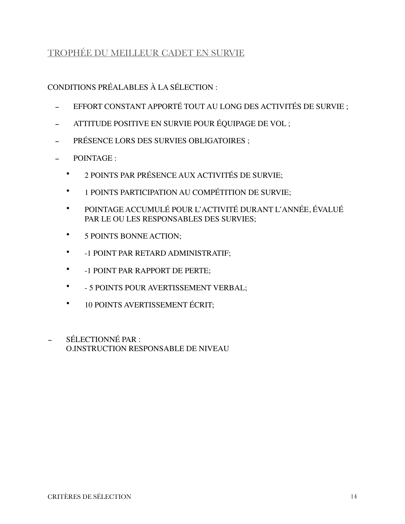### <span id="page-13-0"></span>TROPHÉE DU MEILLEUR CADET EN SURVIE

- EFFORT CONSTANT APPORTÉ TOUT AU LONG DES ACTIVITÉS DE SURVIE ;
- ATTITUDE POSITIVE EN SURVIE POUR ÉQUIPAGE DE VOL ;
- PRÉSENCE LORS DES SURVIES OBLIGATOIRES ;
- POINTAGE :
	- 2 POINTS PAR PRÉSENCE AUX ACTIVITÉS DE SURVIE;
	- 1 POINTS PARTICIPATION AU COMPÉTITION DE SURVIE;
	- POINTAGE ACCUMULÉ POUR L'ACTIVITÉ DURANT L'ANNÉE, ÉVALUÉ PAR LE OU LES RESPONSABLES DES SURVIES;
	- 5 POINTS BONNE ACTION;
	- -1 POINT PAR RETARD ADMINISTRATIF;
	- -1 POINT PAR RAPPORT DE PERTE;
	- - 5 POINTS POUR AVERTISSEMENT VERBAL;
	- 10 POINTS AVERTISSEMENT ÉCRIT;
- SÉLECTIONNÉ PAR : O.INSTRUCTION RESPONSABLE DE NIVEAU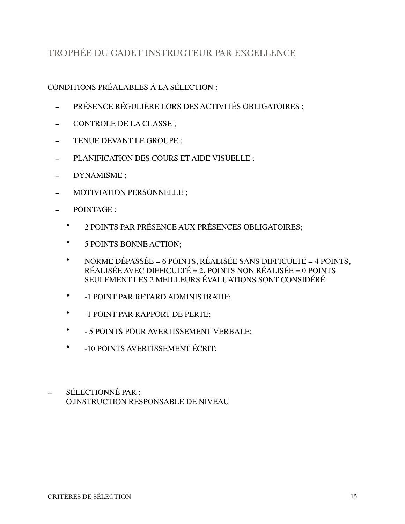### <span id="page-14-0"></span>TROPHÉE DU CADET INSTRUCTEUR PAR EXCELLENCE

- PRÉSENCE RÉGULIÈRE LORS DES ACTIVITÉS OBLIGATOIRES ;
- CONTROLE DE LA CLASSE ;
- TENUE DEVANT LE GROUPE ;
- PLANIFICATION DES COURS ET AIDE VISUELLE ;
- DYNAMISME ;
- MOTIVIATION PERSONNELLE ;
- POINTAGE :
	- 2 POINTS PAR PRÉSENCE AUX PRÉSENCES OBLIGATOIRES;
	- 5 POINTS BONNE ACTION;
	- NORME DÉPASSÉE = 6 POINTS, RÉALISÉE SANS DIFFICULTÉ = 4 POINTS, RÉALISÉE AVEC DIFFICULTÉ = 2, POINTS NON RÉALISÉE = 0 POINTS SEULEMENT LES 2 MEILLEURS ÉVALUATIONS SONT CONSIDÉRÉ
	- -1 POINT PAR RETARD ADMINISTRATIF;
	- -1 POINT PAR RAPPORT DE PERTE;
	- - 5 POINTS POUR AVERTISSEMENT VERBALE;
	- -10 POINTS AVERTISSEMENT ÉCRIT;
- SÉLECTIONNÉ PAR : O.INSTRUCTION RESPONSABLE DE NIVEAU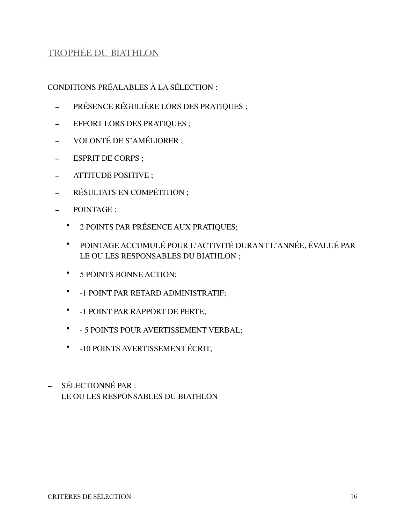# <span id="page-15-0"></span>TROPHÉE DU BIATHLON

- PRÉSENCE RÉGULIÈRE LORS DES PRATIQUES ;
- **EFFORT LORS DES PRATIQUES** ;
- VOLONTÉ DE S'AMÉLIORER ;
- ESPRIT DE CORPS ;
- ATTITUDE POSITIVE ;
- RÉSULTATS EN COMPÉTITION ;
- POINTAGE :
	- 2 POINTS PAR PRÉSENCE AUX PRATIQUES;
	- POINTAGE ACCUMULÉ POUR L'ACTIVITÉ DURANT L'ANNÉE, ÉVALUÉ PAR LE OU LES RESPONSABLES DU BIATHLON ;
	- 5 POINTS BONNE ACTION;
	- -1 POINT PAR RETARD ADMINISTRATIF;
	- -1 POINT PAR RAPPORT DE PERTE;
	- - 5 POINTS POUR AVERTISSEMENT VERBAL;
	- -10 POINTS AVERTISSEMENT ÉCRIT;
- SÉLECTIONNÉ PAR : LE OU LES RESPONSABLES DU BIATHLON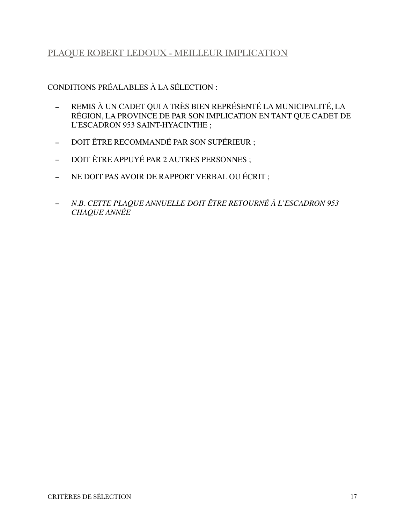### <span id="page-16-0"></span>PLAQUE ROBERT LEDOUX - MEILLEUR IMPLICATION

- REMIS À UN CADET QUI A TRÈS BIEN REPRÉSENTÉ LA MUNICIPALITÉ, LA RÉGION, LA PROVINCE DE PAR SON IMPLICATION EN TANT QUE CADET DE L'ESCADRON 953 SAINT-HYACINTHE ;
- DOIT ÊTRE RECOMMANDÉ PAR SON SUPÉRIEUR ;
- DOIT ÊTRE APPUYÉ PAR 2 AUTRES PERSONNES ;
- NE DOIT PAS AVOIR DE RAPPORT VERBAL OU ÉCRIT ;
- *N.B. CETTE PLAQUE ANNUELLE DOIT ÊTRE RETOURNÉ À L'ESCADRON 953 CHAQUE ANNÉE*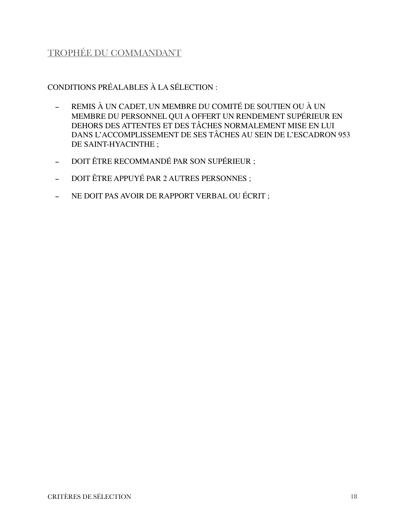# <span id="page-17-0"></span>TROPHÉE DU COMMANDANT

- REMIS À UN CADET, UN MEMBRE DU COMITÉ DE SOUTIEN OU À UN MEMBRE DU PERSONNEL QUI A OFFERT UN RENDEMENT SUPÉRIEUR EN DEHORS DES ATTENTES ET DES TÂCHES NORMALEMENT MISE EN LUI DANS L'ACCOMPLISSEMENT DE SES TÂCHES AU SEIN DE L'ESCADRON 953 DE SAINT-HYACINTHE ;
- DOIT ÊTRE RECOMMANDÉ PAR SON SUPÉRIEUR ;
- DOIT ÊTRE APPUYÉ PAR 2 AUTRES PERSONNES ;
- NE DOIT PAS AVOIR DE RAPPORT VERBAL OU ÉCRIT ;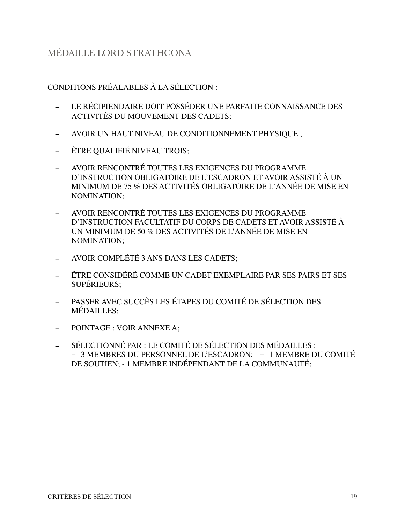### <span id="page-18-0"></span>MÉDAILLE LORD STRATHCONA

- LE RÉCIPIENDAIRE DOIT POSSÉDER UNE PARFAITE CONNAISSANCE DES ACTIVITÉS DU MOUVEMENT DES CADETS;
- AVOIR UN HAUT NIVEAU DE CONDITIONNEMENT PHYSIQUE ;
- ÊTRE QUALIFIÉ NIVEAU TROIS;
- AVOIR RENCONTRÉ TOUTES LES EXIGENCES DU PROGRAMME D'INSTRUCTION OBLIGATOIRE DE L'ESCADRON ET AVOIR ASSISTÉ À UN MINIMUM DE 75 % DES ACTIVITÉS OBLIGATOIRE DE L'ANNÉE DE MISE EN NOMINATION;
- AVOIR RENCONTRÉ TOUTES LES EXIGENCES DU PROGRAMME D'INSTRUCTION FACULTATIF DU CORPS DE CADETS ET AVOIR ASSISTÉ À UN MINIMUM DE 50 % DES ACTIVITÉS DE L'ANNÉE DE MISE EN NOMINATION;
- AVOIR COMPLÉTÉ 3 ANS DANS LES CADETS;
- ÊTRE CONSIDÉRÉ COMME UN CADET EXEMPLAIRE PAR SES PAIRS ET SES SUPÉRIEURS;
- PASSER AVEC SUCCÈS LES ÉTAPES DU COMITÉ DE SÉLECTION DES MÉDAILLES;
- POINTAGE : VOIR ANNEXE A;
- SÉLECTIONNÉ PAR : LE COMITÉ DE SÉLECTION DES MÉDAILLES : - 3 MEMBRES DU PERSONNEL DE L'ESCADRON; - 1 MEMBRE DU COMITÉ DE SOUTIEN; - 1 MEMBRE INDÉPENDANT DE LA COMMUNAUTÉ;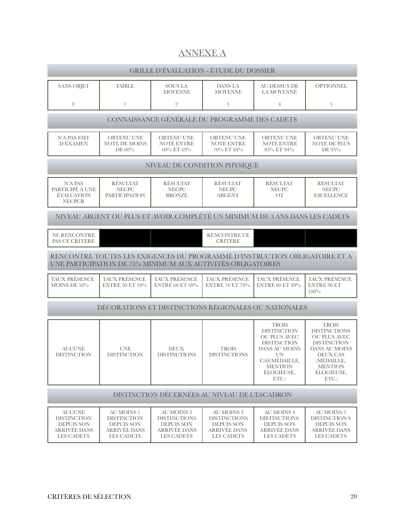# <span id="page-19-0"></span>ANNEXE A

| <b>GRILLE D'ÉVALUATION - ÉTUDE DU DOSSIER</b>                                                        |                                                                                                                                           |                                                                                                           |                                                                                                    |                                                                                                                                                                 |                                                                                                                                                                                    |  |  |  |
|------------------------------------------------------------------------------------------------------|-------------------------------------------------------------------------------------------------------------------------------------------|-----------------------------------------------------------------------------------------------------------|----------------------------------------------------------------------------------------------------|-----------------------------------------------------------------------------------------------------------------------------------------------------------------|------------------------------------------------------------------------------------------------------------------------------------------------------------------------------------|--|--|--|
| <b>SANS OBJET</b>                                                                                    | <b>FAIBLE</b>                                                                                                                             | <b>SOUS LA</b><br><b>MOYENNE</b>                                                                          | DANS LA<br><b>MOYENNE</b>                                                                          | <b>AU-DESSUS DE</b><br>LA MOYENNE                                                                                                                               | <b>OPTIONNEL</b>                                                                                                                                                                   |  |  |  |
| $\overline{0}$                                                                                       | $\mathbf{1}$                                                                                                                              | $\overline{2}$                                                                                            | 3                                                                                                  | $\overline{4}$                                                                                                                                                  | 5                                                                                                                                                                                  |  |  |  |
| CONNAISSANCE GÉNÉRALE DU PROGRAMME DES CADETS                                                        |                                                                                                                                           |                                                                                                           |                                                                                                    |                                                                                                                                                                 |                                                                                                                                                                                    |  |  |  |
| <b>N'A PAS FAIT</b><br><b>D'EXAMEN</b>                                                               | <b>OBTENU UNE</b><br><b>NOTE DE MOINS</b><br>DE 60%                                                                                       | <b>OBTENU UNE</b><br><b>NOTE ENTRE</b><br>60% ET 69%                                                      | <b>OBTENU UNE</b><br><b>NOTE ENTRE</b><br>70% ET 84%                                               | <b>OBTENU UNE</b><br><b>NOTE ENTRE</b><br>85% ET 94%                                                                                                            | <b>OBTENU UNE</b><br><b>NOTE DE PLUS</b><br>DE 95%                                                                                                                                 |  |  |  |
|                                                                                                      |                                                                                                                                           | NIVEAU DE CONDITION PHYSIQUE                                                                              |                                                                                                    |                                                                                                                                                                 |                                                                                                                                                                                    |  |  |  |
| N'A PAS<br>PARTICIPÉ À UNE<br><b>ÉVALUATION</b><br><b>NECPCR</b>                                     | <b>RÉSULTAT</b><br><b>NECPC</b><br><b>PARTICIPATION</b>                                                                                   | RÉSULTAT<br><b>NECPC</b><br><b>BRONZE</b>                                                                 | RÉSULTAT<br><b>NECPC</b><br><b>ARGENT</b>                                                          | RÉSULTAT<br><b>NECPC</b><br><b>OT</b>                                                                                                                           | RÉSULTAT<br><b>NECPC</b><br><b>ESCELLENCE</b>                                                                                                                                      |  |  |  |
|                                                                                                      | NIVEAU ARGENT OU PLUS ET AVOIR COMPLÉTÉ UN MINIMUM DE 3 ANS DANS LES CADETS                                                               |                                                                                                           |                                                                                                    |                                                                                                                                                                 |                                                                                                                                                                                    |  |  |  |
| NE RENCONTRE<br>PAS CE CRITÈRE                                                                       |                                                                                                                                           |                                                                                                           | RENCONTRE CE<br><b>CRITERE</b>                                                                     |                                                                                                                                                                 |                                                                                                                                                                                    |  |  |  |
|                                                                                                      | RENCONTRE TOUTES LES EXIGENCES DU PROGRAMME D'INSTRUCTION OBLIGATOIRE ET A<br>UNE PARTICIPATION DE 75% MINIMUM AUX ACTIVITÉS OBLIGATOIRES |                                                                                                           |                                                                                                    |                                                                                                                                                                 |                                                                                                                                                                                    |  |  |  |
| TAUX PRÉSENCE<br>MOINS DE 50%                                                                        | TAUX PRÉSENCE<br><b>ENTRE 50 ET 59%</b>                                                                                                   | TAUX PRÉSENCE<br><b>ENTRE 60 ET 69%</b>                                                                   | TAUX PRÉSENCE<br><b>ENTRE 70 ET 79%</b>                                                            | TAUX PRÉSENCE<br><b>ENTRE 80 ET 89%</b>                                                                                                                         | TAUX PRÉSENCE<br><b>ENTRE 90 ET</b><br>100%                                                                                                                                        |  |  |  |
|                                                                                                      | DÉCORATIONS ET DISTINCTIONS RÉGIONALES OU NATIONALES                                                                                      |                                                                                                           |                                                                                                    |                                                                                                                                                                 |                                                                                                                                                                                    |  |  |  |
| <b>AUCUNE</b><br><b>DISTINCTION</b>                                                                  | <b>UNE</b><br><b>DISTINCTION</b>                                                                                                          | <b>DEUX</b><br><b>DISTINCTIONS</b>                                                                        | <b>TROIS</b><br><b>DISTINCTIONS</b>                                                                | <b>TROIS</b><br><b>DISTINCTION</b><br><b>OU PLUS AVEC</b><br><b>DISTINCTION</b><br>DANS AU MOINS<br>UN<br>CAS(MÉDAILLE,<br><b>MENTION</b><br>ÉLOGIEUSE,<br>ETC. | <b>TROIS</b><br><b>DISTINCTIONS</b><br><b>OU PLUS AVEC</b><br><b>DISTINCTION</b><br><b>DANS AU MOINS</b><br><b>DEUX CAS</b><br>(MÉDAILLE,<br><b>MENTION</b><br>ÉLOGIEUSE,<br>ETC.) |  |  |  |
|                                                                                                      | DISTINCTION DÉCERNÉES AU NIVEAU DE L'ESCADRON                                                                                             |                                                                                                           |                                                                                                    |                                                                                                                                                                 |                                                                                                                                                                                    |  |  |  |
| <b>AUCUNE</b><br><b>DISTINCTION</b><br><b>DEPUIS SON</b><br><b>ARRIVÉE DANS</b><br><b>LES CADETS</b> | AU MOINS 1<br><b>DISTINCTION</b><br><b>DEPUIS SON</b><br><b>ARRIVÉE DANS</b><br><b>LES CADETS</b>                                         | <b>AU MOINS 2</b><br><b>DISTINCTIONS</b><br><b>DEPUIS SON</b><br><b>ARRIVÉE DANS</b><br><b>LES CADETS</b> | AU MOINS 3<br><b>DISTINCTIONS</b><br><b>DEPUIS SON</b><br><b>ARRIVÉE DANS</b><br><b>LES CADETS</b> | AU MOINS 4<br><b>DISTINCTIONS</b><br><b>DEPUIS SON</b><br><b>ARRIVÉE DANS</b><br><b>LES CADETS</b>                                                              | AU MOINS 5<br><b>DISTINCTION S</b><br><b>DEPUIS SON</b><br><b>ARRIVÉE DANS</b><br>LES CADETS                                                                                       |  |  |  |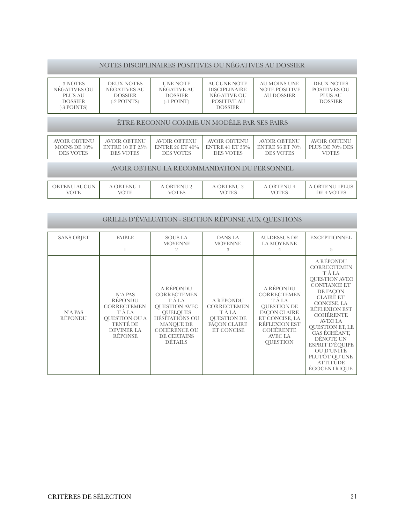#### NOTES DISCIPLINAIRES POSITIVES OU NÉGATIVES AU DOSSIER

| 3 NOTES<br>NÉGATIVES OU<br>PLUS AU<br><b>DOSSIER</b><br>(-3 POINTS) | DEUX NOTES<br>NÉGATIVES AU<br><b>DOSSIER</b><br>$(-2$ POINTS) | <b>UNE NOTE</b><br>NÉGATIVE AU<br><b>DOSSIER</b><br>$(-1$ POINT) | AUCUNE NOTE<br><b>DISCIPLINAIRE</b><br>NEGATIVE OU<br>POSITIVE AU<br><b>DOSSIER</b> | AU MOINS UNE<br>NOTE POSITIVE<br>AU DOSSIER | DEUX NOTES<br>POSITIVES OU<br>PLUS AU<br><b>DOSSIER</b> |  |
|---------------------------------------------------------------------|---------------------------------------------------------------|------------------------------------------------------------------|-------------------------------------------------------------------------------------|---------------------------------------------|---------------------------------------------------------|--|
|                                                                     |                                                               |                                                                  |                                                                                     |                                             |                                                         |  |

#### ÊTRE RECONNU COMME UN MODÈLE PAR SES PAIRS

| AVOIR OBTENU     | AVOIR OBTENU           | AVOIR OBTENU       | AVOIR OBTENU          | AVOIR OBTENU           | AVOIR OBTENU    |
|------------------|------------------------|--------------------|-----------------------|------------------------|-----------------|
| MOINS DE $10\%$  | <b>ENTRE 10 ET 25%</b> | ENTRE 26 ET $40\%$ | $\pm$ ENTRE 41 ET 55% | <b>ENTRE 56 ET 70%</b> | PLUS DE 70% DES |
| <b>DES VOTES</b> | <b>DES VOTES</b>       | <b>DES VOTES</b>   | <b>DES VOTES</b>      | <b>DES VOTES</b>       | VOTES           |

#### AVOIR OBTENU LA RECOMMANDATION DU PERSONNEL

| OBTENU AUCUN<br><b>OTE</b> | OBTENU<br>'OTE | <b><i>\</i> OBTENU 2</b><br><b>TOTES</b> | A OBTENU 3<br>VOTES | A OBTENU<br><b>VOTES</b> | 1PLUS<br>A OBTENU<br>DE 4 VOTES |
|----------------------------|----------------|------------------------------------------|---------------------|--------------------------|---------------------------------|

#### GRILLE D'ÉVALUATION - SECTION RÉPONSE AUX QUESTIONS

| <b>SANS OBJET</b>  | <b>FAIBLE</b>                                                                                                                 | <b>SOUS LA</b><br><b>MOYENNE</b>                                                                                                                                                   | <b>DANS LA</b><br><b>MOYENNE</b><br>3                                                               | <b>AU-DESSUS DE</b><br>LA MOYENNE                                                                                                                                                         | <b>EXCEPTIONNEL</b><br>5                                                                                                                                                                                                                                                                                                                                 |
|--------------------|-------------------------------------------------------------------------------------------------------------------------------|------------------------------------------------------------------------------------------------------------------------------------------------------------------------------------|-----------------------------------------------------------------------------------------------------|-------------------------------------------------------------------------------------------------------------------------------------------------------------------------------------------|----------------------------------------------------------------------------------------------------------------------------------------------------------------------------------------------------------------------------------------------------------------------------------------------------------------------------------------------------------|
| N'A PAS<br>RÉPONDU | N'A PAS<br>RÉPONDU<br><b>CORRECTEMEN</b><br>T À LA<br><b>OUESTION OU A</b><br>TENTÉ DE<br><b>DEVINER LA</b><br><b>RÉPONSE</b> | A RÉPONDU<br><b>CORRECTEMEN</b><br>T À LA<br><b>OUESTION AVEC</b><br><b>OUELQUES</b><br>HÉSITATIONS OU<br><b>MANQUE DE</b><br><b>COHÉRENCE OU</b><br>DE CERTAINS<br><b>DÉTAILS</b> | A RÉPONDU<br><b>CORRECTEMEN</b><br>TÀ LA<br><b>OUESTION DE</b><br><b>FACON CLAIRE</b><br>ET CONCISE | A RÉPONDU<br><b>CORRECTEMEN</b><br>T À LA<br><b>QUESTION DE</b><br><b>FACON CLAIRE</b><br>ET CONCISE, LA<br><b>RÉFLEXION EST</b><br><b>COHÉRENTE</b><br><b>AVEC LA</b><br><b>OUESTION</b> | A RÉPONDU<br><b>CORRECTEMEN</b><br>T À LA<br><b>QUESTION AVEC</b><br><b>CONFIANCE ET</b><br>DE FACON<br><b>CLAIRE ET</b><br>CONCISE, LA<br><b>RÉFLEXION EST</b><br><b>COHÉRENTE</b><br><b>AVEC LA</b><br><b>QUESTION ET, LE</b><br>CAS ÉCHÉANT,<br>DÉNOTE UN<br>ESPRIT D'ÉQUIPE<br>OU D'UNITÉ<br>PLUTÔT QU'UNE<br><b>ATTITUDE</b><br><b>ÉGOCENTRIOUE</b> |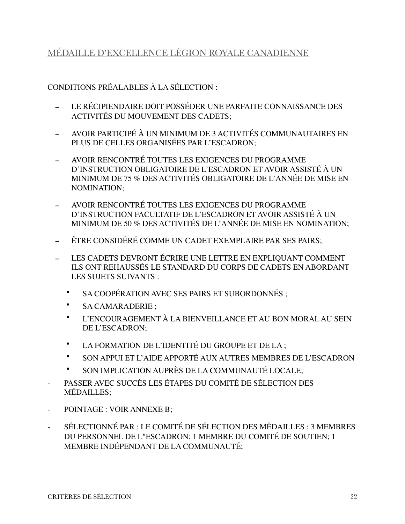### <span id="page-21-0"></span>MÉDAILLE D'EXCELLENCE LÉGION ROYALE CANADIENNE

- LE RÉCIPIENDAIRE DOIT POSSÉDER UNE PARFAITE CONNAISSANCE DES ACTIVITÉS DU MOUVEMENT DES CADETS;
- AVOIR PARTICIPÉ À UN MINIMUM DE 3 ACTIVITÉS COMMUNAUTAIRES EN PLUS DE CELLES ORGANISÉES PAR L'ESCADRON;
- AVOIR RENCONTRÉ TOUTES LES EXIGENCES DU PROGRAMME D'INSTRUCTION OBLIGATOIRE DE L'ESCADRON ET AVOIR ASSISTÉ À UN MINIMUM DE 75 % DES ACTIVITÉS OBLIGATOIRE DE L'ANNÉE DE MISE EN NOMINATION;
- AVOIR RENCONTRÉ TOUTES LES EXIGENCES DU PROGRAMME D'INSTRUCTION FACULTATIF DE L'ESCADRON ET AVOIR ASSISTÉ À UN MINIMUM DE 50 % DES ACTIVITÉS DE L'ANNÉE DE MISE EN NOMINATION;
- ÊTRE CONSIDÉRÉ COMME UN CADET EXEMPLAIRE PAR SES PAIRS;
- LES CADETS DEVRONT ÉCRIRE UNE LETTRE EN EXPLIQUANT COMMENT ILS ONT REHAUSSÉS LE STANDARD DU CORPS DE CADETS EN ABORDANT LES SUJETS SUIVANTS :
	- SA COOPÉRATION AVEC SES PAIRS ET SUBORDONNÉS ;
	- SA CAMARADERIE ;
	- L'ENCOURAGEMENT À LA BIENVEILLANCE ET AU BON MORAL AU SEIN DE L'ESCADRON;
	- LA FORMATION DE L'IDENTITÉ DU GROUPE ET DE LA ;
	- SON APPUI ET L'AIDE APPORTÉ AUX AUTRES MEMBRES DE L'ESCADRON
	- SON IMPLICATION AUPRÈS DE LA COMMUNAUTÉ LOCALE;
- PASSER AVEC SUCCÈS LES ÉTAPES DU COMITÉ DE SÉLECTION DES MÉDAILLES;
- POINTAGE : VOIR ANNEXE B;
- SÉLECTIONNÉ PAR : LE COMITÉ DE SÉLECTION DES MÉDAILLES : 3 MEMBRES DU PERSONNEL DE L"ESCADRON; 1 MEMBRE DU COMITÉ DE SOUTIEN; 1 MEMBRE INDÉPENDANT DE LA COMMUNAUTÉ;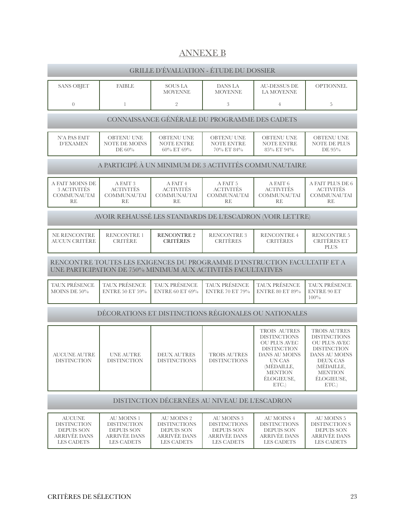### <span id="page-22-0"></span>ANNEXE B

| <b>GRILLE D'ÉVALUATION - ÉTUDE DU DOSSIER</b>                                                 |                                                                                                   |                                                                                                    |                                                                                                    |                                                                                                                                                                    |                                                                                                                                                                                              |  |  |  |
|-----------------------------------------------------------------------------------------------|---------------------------------------------------------------------------------------------------|----------------------------------------------------------------------------------------------------|----------------------------------------------------------------------------------------------------|--------------------------------------------------------------------------------------------------------------------------------------------------------------------|----------------------------------------------------------------------------------------------------------------------------------------------------------------------------------------------|--|--|--|
| <b>SANS OBJET</b>                                                                             | <b>FAIBLE</b>                                                                                     | <b>SOUS LA</b><br><b>MOYENNE</b>                                                                   | DANS LA<br><b>MOYENNE</b>                                                                          | <b>AU-DESSUS DE</b><br>LA MOYENNE                                                                                                                                  | <b>OPTIONNEL</b>                                                                                                                                                                             |  |  |  |
| $\overline{0}$                                                                                | $\mathbf{1}$                                                                                      | $\overline{2}$                                                                                     | 3                                                                                                  | $\overline{4}$                                                                                                                                                     | 5                                                                                                                                                                                            |  |  |  |
| CONNAISSANCE GÉNÉRALE DU PROGRAMME DES CADETS                                                 |                                                                                                   |                                                                                                    |                                                                                                    |                                                                                                                                                                    |                                                                                                                                                                                              |  |  |  |
| <b>N'A PAS FAIT</b><br><b>D'EXAMEN</b>                                                        | <b>OBTENU UNE</b><br><b>NOTE DE MOINS</b><br>DE $60\%$                                            | <b>OBTENU UNE</b><br><b>NOTE ENTRE</b><br>60% ET 69%                                               | <b>OBTENU UNE</b><br><b>NOTE ENTRE</b><br>70% ET 84%                                               | <b>OBTENU UNE</b><br><b>NOTE ENTRE</b><br>85% ET 94%                                                                                                               | <b>OBTENU UNE</b><br><b>NOTE DE PLUS</b><br>DE 95%                                                                                                                                           |  |  |  |
|                                                                                               |                                                                                                   |                                                                                                    |                                                                                                    | A PARTICIPÉ À UN MINIMUM DE 3 ACTIVITÉS COMMUNAUTAIRE                                                                                                              |                                                                                                                                                                                              |  |  |  |
| A FAIT MOINS DE<br><b>3 ACTIVITÉS</b><br><b>COMMUNAUTAI</b><br>RE                             | A FAIT 3<br><b>ACTIVITÉS</b><br><b>COMMUNAUTAI</b><br><b>RE</b>                                   | A FAIT 4<br><b>ACTIVITÉS</b><br><b>COMMUNAUTAI</b><br>RE                                           | A FAIT 5<br><b>ACTIVITÉS</b><br><b>COMMUNAUTAI</b><br>RE                                           | A FAIT 6<br><b>ACTIVITÉS</b><br><b>COMMUNAUTAI</b><br>RE                                                                                                           | A FAIT PLUS DE 6<br><b>ACTIVITÉS</b><br><b>COMMUNAUTAI</b><br>RE                                                                                                                             |  |  |  |
|                                                                                               |                                                                                                   |                                                                                                    |                                                                                                    | AVOIR REHAUSSÉ LES STANDARDS DE L'ESCADRON (VOIR LETTRE)                                                                                                           |                                                                                                                                                                                              |  |  |  |
| NE RENCONTRE<br><b>AUCUN CRITÈRE</b>                                                          | <b>RENCONTRE 1</b><br><b>CRITERE</b>                                                              | <b>RENCONTRE 2</b><br><b>CRITÈRES</b>                                                              | <b>RENCONTRE 3</b><br><b>CRITÈRES</b>                                                              | <b>RENCONTRE 4</b><br><b>CRITERES</b>                                                                                                                              | <b>RENCONTRE 5</b><br><b>CRITÈRES ET</b><br><b>PLUS</b>                                                                                                                                      |  |  |  |
|                                                                                               | UNE PARTICIPATION DE 750% MINIMUM AUX ACTIVITÉS FACULTATIVES                                      |                                                                                                    |                                                                                                    | RENCONTRE TOUTES LES EXIGENCES DU PROGRAMME D'INSTRUCTION FACULTATIF ET A                                                                                          |                                                                                                                                                                                              |  |  |  |
| TAUX PRÉSENCE<br>MOINS DE $50\%$                                                              | <b>TAUX PRÉSENCE</b><br><b>ENTRE 50 ET 59%</b>                                                    | <b>TAUX PRÉSENCE</b><br><b>ENTRE 60 ET 69%</b>                                                     | TAUX PRÉSENCE<br><b>ENTRE 70 ET 79%</b>                                                            | TAUX PRÉSENCE<br><b>ENTRE 80 ET 89%</b>                                                                                                                            | TAUX PRÉSENCE<br><b>ENTRE 90 ET</b><br>$100\%$                                                                                                                                               |  |  |  |
|                                                                                               |                                                                                                   |                                                                                                    |                                                                                                    | DÉCORATIONS ET DISTINCTIONS RÉGIONALES OU NATIONALES                                                                                                               |                                                                                                                                                                                              |  |  |  |
| <b>AUCUNE AUTRE</b><br><b>DISTINCTION</b>                                                     | <b>UNE AUTRE</b><br><b>DISTINCTION</b>                                                            | <b>DEUX AUTRES</b><br><b>DISTINCTIONS</b>                                                          | <b>TROIS AUTRES</b><br><b>DISTINCTIONS</b>                                                         | TROIS AUTRES<br><b>DISTINCTIONS</b><br><b>OU PLUS AVEC</b><br><b>DISTINCTION</b><br>DANS AU MOINS<br>UN CAS<br>(MÉDAILLE,<br><b>MENTION</b><br>ÉLOGIEUSE,<br>ETC.) | <b>TROIS AUTRES</b><br><b>DISTINCTIONS</b><br><b>OU PLUS AVEC</b><br>$\operatorname{DISTINCTION}$<br><b>DANS AU MOINS</b><br>DEUX CAS<br>(MÉDAILLE,<br><b>MENTION</b><br>ÉLOGIEUSE,<br>ETC.) |  |  |  |
|                                                                                               | DISTINCTION DÉCERNÉES AU NIVEAU DE L'ESCADRON                                                     |                                                                                                    |                                                                                                    |                                                                                                                                                                    |                                                                                                                                                                                              |  |  |  |
| <b>AUCUNE</b><br><b>DISTINCTION</b><br><b>DEPUIS SON</b><br><b>ARRIVÉE DANS</b><br>LES CADETS | <b>AU MOINS 1</b><br><b>DISTINCTION</b><br><b>DEPUIS SON</b><br><b>ARRIVÉE DANS</b><br>LES CADETS | AU MOINS 2<br><b>DISTINCTIONS</b><br><b>DEPUIS SON</b><br><b>ARRIVÉE DANS</b><br><b>LES CADETS</b> | <b>AU MOINS 3</b><br><b>DISTINCTIONS</b><br><b>DEPUIS SON</b><br><b>ARRIVÉE DANS</b><br>LES CADETS | <b>AU MOINS 4</b><br><b>DISTINCTIONS</b><br><b>DEPUIS SON</b><br><b>ARRIVÉE DANS</b><br><b>LES CADETS</b>                                                          | AU MOINS 5<br><b>DISTINCTION S</b><br><b>DEPUIS SON</b><br><b>ARRIVÉE DANS</b><br>LES CADETS                                                                                                 |  |  |  |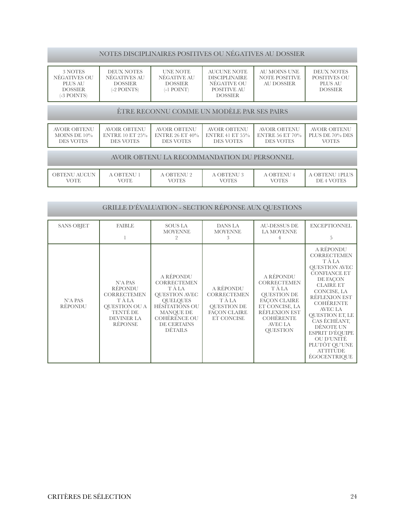#### NOTES DISCIPLINAIRES POSITIVES OU NÉGATIVES AU DOSSIER

| 3 NOTES<br>NEGATIVES OU<br>PLUS AU<br><b>DOSSIER</b><br>(-3 POINTS) | DEUX NOTES<br>NEGATIVES AU<br><b>DOSSIER</b><br>$(-2$ POINTS) | UNE NOTE<br>NÉGATIVE AU<br><b>DOSSIER</b><br>(-1 POINT) | AUCUNE NOTE<br>DISCIPLINAIRE<br>NEGATIVE OU<br>POSITIVE AU<br><b>DOSSIER</b> | AU MOINS UNE<br>NOTE POSITIVE<br>AU DOSSIER | DEUX NOTES<br>POSITIVES OU<br>PLUS AU<br><b>DOSSIER</b> |
|---------------------------------------------------------------------|---------------------------------------------------------------|---------------------------------------------------------|------------------------------------------------------------------------------|---------------------------------------------|---------------------------------------------------------|

#### ÊTRE RECONNU COMME UN MODÈLE PAR SES PAIRS

| AVOIR OBTENU<br>MOINS DE $10\%$<br><b>DES VOTES</b> | <b>AVOIR OBTENU</b><br><b>DES VOTES</b> | <b>AVOIR OBTENU</b><br><b>DES VOTES</b> | <b>AVOIR OBTENU</b><br>ENTRE 10 ET 25% LENTRE 26 ET 40% LENTRE 41 ET 55% LENTRE 56 ET 70%<br>DES VOTES | <b>AVOIR OBTENU</b><br><b>DES VOTES</b> | AVOIR OBTENU<br>$\perp$ PLUS DE 70% DES<br>VOTES |
|-----------------------------------------------------|-----------------------------------------|-----------------------------------------|--------------------------------------------------------------------------------------------------------|-----------------------------------------|--------------------------------------------------|
|-----------------------------------------------------|-----------------------------------------|-----------------------------------------|--------------------------------------------------------------------------------------------------------|-----------------------------------------|--------------------------------------------------|

#### AVOIR OBTENU LA RECOMMANDATION DU PERSONNEL

| OBTENU AUCUN<br>'OTE | <b>OBTENU</b><br><b>/OTE</b> | A OBTENU 2<br><b>TOTES</b> | <b>OBTENU</b> :<br>VOTES | <b>OBTENU</b><br><b>TOTES</b> | <b>IPLUS</b><br>. OBTENU<br>DE 4 VOTES |
|----------------------|------------------------------|----------------------------|--------------------------|-------------------------------|----------------------------------------|

| GRILLE D'ÉVALUATION - SECTION RÉPONSE AUX QUESTIONS |                                                                                                                                      |                                                                                                                                                                             |                                                                                                             |                                                                                                                                                                      |                                                                                                                                                                                                                                                                                                                                   |  |  |
|-----------------------------------------------------|--------------------------------------------------------------------------------------------------------------------------------------|-----------------------------------------------------------------------------------------------------------------------------------------------------------------------------|-------------------------------------------------------------------------------------------------------------|----------------------------------------------------------------------------------------------------------------------------------------------------------------------|-----------------------------------------------------------------------------------------------------------------------------------------------------------------------------------------------------------------------------------------------------------------------------------------------------------------------------------|--|--|
| <b>SANS OBJET</b>                                   | <b>FAIBLE</b>                                                                                                                        | <b>SOUS LA</b><br><b>MOYENNE</b><br>$\overline{2}$                                                                                                                          | DANS LA<br><b>MOYENNE</b><br>3                                                                              | <b>AU-DESSUS DE</b><br><b>LA MOYENNE</b><br>4                                                                                                                        | <b>EXCEPTIONNEL</b><br>.5                                                                                                                                                                                                                                                                                                         |  |  |
| <b>N'A PAS</b><br><b>RÉPONDU</b>                    | N'A PAS<br><b>RÉPONDU</b><br><b>CORRECTEMEN</b><br>T À LA<br><b>OUESTION OU A</b><br>TENTÉ DE<br><b>DEVINER LA</b><br><b>RÉPONSE</b> | A RÉPONDU<br><b>CORRECTEMEN</b><br>T À LA<br><b>QUESTION AVEC</b><br><b>OUELQUES</b><br>HÉSITATIONS OU<br>MANQUE DE<br><b>COHÉRENCE OU</b><br>DE CERTAINS<br><b>DÉTAILS</b> | A RÉPONDU<br><b>CORRECTEMEN</b><br>T À LA<br><b>QUESTION DE</b><br><b>FACON CLAIRE</b><br><b>ET CONCISE</b> | A RÉPONDU<br><b>CORRECTEMEN</b><br>T À LA<br><b>QUESTION DE</b><br>FACON CLAIRE<br>ET CONCISE, LA<br>RÉFLEXION EST<br><b>COHÉRENTE</b><br>AVEC LA<br><b>QUESTION</b> | A RÉPONDU<br><b>CORRECTEMEN</b><br>TÀLA<br><b>QUESTION AVEC</b><br><b>CONFIANCE ET</b><br>DE FACON<br><b>CLAIRE ET</b><br>CONCISE, LA<br>RÉFLEXION EST<br><b>COHÉRENTE</b><br>AVEC LA<br>QUESTION ET, LE<br>CAS ÉCHÉANT,<br>DÉNOTE UN<br>ESPRIT D'ÉQUIPE<br>OU D'UNITÉ<br>PLUTÔT QU'UNE<br><b>ATTITUDE</b><br><b>ÉGOCENTRIQUE</b> |  |  |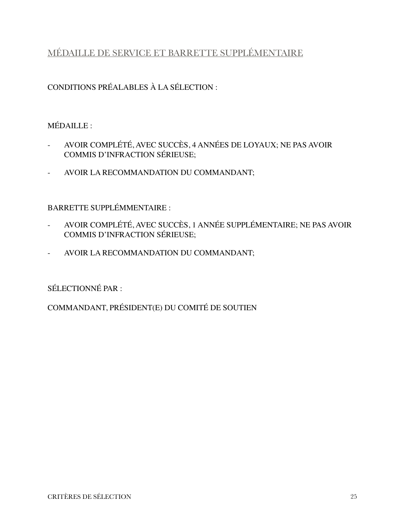## <span id="page-24-0"></span>MÉDAILLE DE SERVICE ET BARRETTE SUPPLÉMENTAIRE

CONDITIONS PRÉALABLES À LA SÉLECTION :

### MÉDAILLE :

- AVOIR COMPLÉTÉ, AVEC SUCCÈS, 4 ANNÉES DE LOYAUX; NE PAS AVOIR COMMIS D'INFRACTION SÉRIEUSE;
- AVOIR LA RECOMMANDATION DU COMMANDANT;

BARRETTE SUPPLÉMMENTAIRE :

- AVOIR COMPLÉTÉ, AVEC SUCCÈS, 1 ANNÉE SUPPLÉMENTAIRE; NE PAS AVOIR COMMIS D'INFRACTION SÉRIEUSE;
- AVOIR LA RECOMMANDATION DU COMMANDANT;

SÉLECTIONNÉ PAR :

COMMANDANT, PRÉSIDENT(E) DU COMITÉ DE SOUTIEN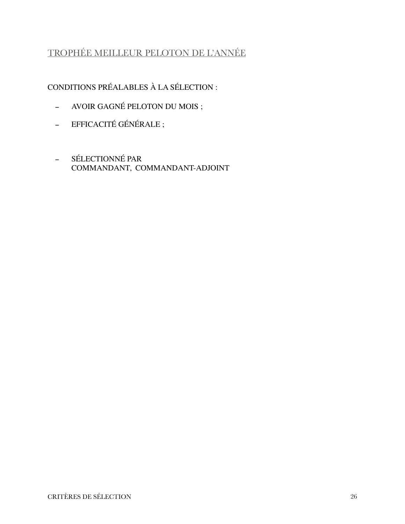# <span id="page-25-0"></span>TROPHÉE MEILLEUR PELOTON DE L'ANNÉE

- AVOIR GAGNÉ PELOTON DU MOIS ;
- EFFICACITÉ GÉNÉRALE ;
- SÉLECTIONNÉ PAR COMMANDANT, COMMANDANT-ADJOINT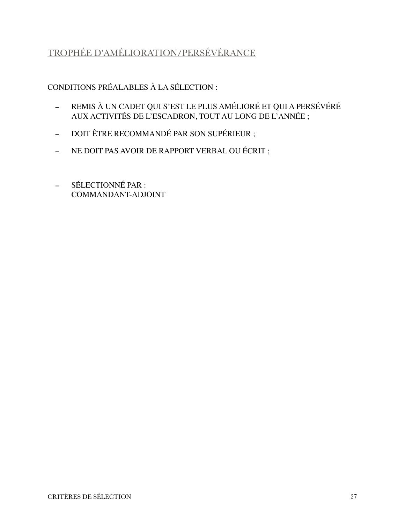# <span id="page-26-0"></span>TROPHÉE D'AMÉLIORATION/PERSÉVÉRANCE

- REMIS À UN CADET QUI S'EST LE PLUS AMÉLIORÉ ET QUI A PERSÉVÉRÉ AUX ACTIVITÉS DE L'ESCADRON, TOUT AU LONG DE L'ANNÉE ;
- DOIT ÊTRE RECOMMANDÉ PAR SON SUPÉRIEUR ;
- NE DOIT PAS AVOIR DE RAPPORT VERBAL OU ÉCRIT ;
- SÉLECTIONNÉ PAR : COMMANDANT-ADJOINT